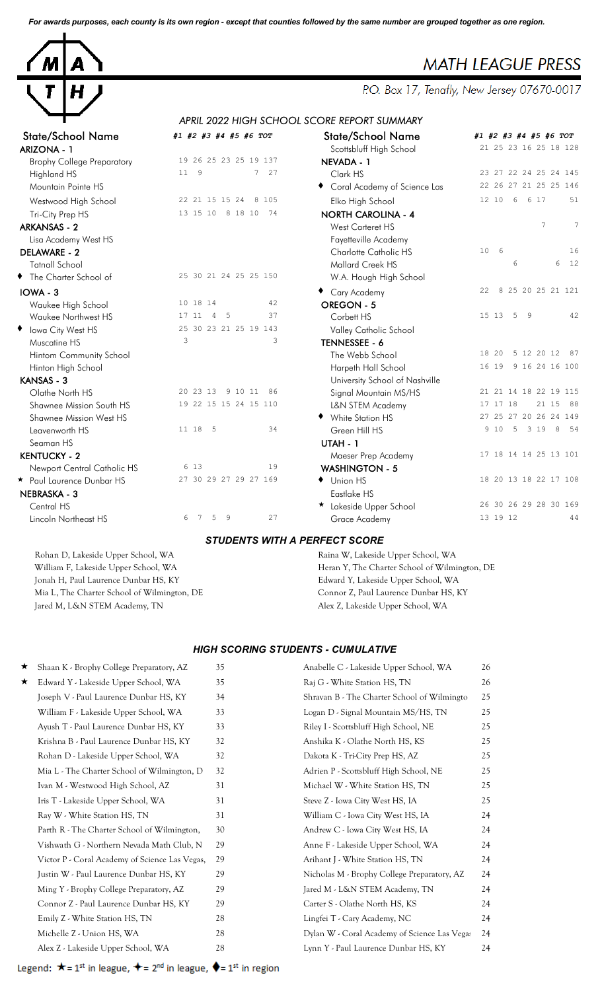*For awards purposes, each county is its own region - except that counties followed by the same number are grouped together as one region.*



# **MATH LEAGUE PRESS**

P.O. Box 17, Tenafly, New Jersey 07670-0017

## *APRIL 2022 HIGH SCHOOL SCORE REPORT SUMMARY*

| <b>State/School Name</b>          | #1 #2 #3 #4 #5 #6 TOT     | <b>State/School Name</b>       | #1 #2 #3 #4 #5 #6 TOT   |
|-----------------------------------|---------------------------|--------------------------------|-------------------------|
| <b>ARIZONA - 1</b>                |                           | Scottsbluff High School        | 21 25 23 16 25 18 128   |
| <b>Brophy College Preparatory</b> | 19 26 25 23 25 19 137     | NEVADA - 1                     |                         |
| Highland HS                       | 11 9<br>7 27              | Clark HS                       | 23 27 22 24 25 24 145   |
| Mountain Pointe HS                |                           | Coral Academy of Science Las   | 22 26 27 21 25 25 146   |
| Westwood High School              | 22 21 15 15 24 8 105      | Elko High School               | 51<br>12 10 6<br>6 17   |
| Tri-City Prep HS                  | 13 15 10 8 18 10 74       | <b>NORTH CAROLINA - 4</b>      |                         |
| <b>ARKANSAS - 2</b>               |                           | West Carteret HS               | $\overline{7}$<br>7     |
| Lisa Academy West HS              |                           | Fayetteville Academy           |                         |
| DELAWARE - 2                      |                           | Charlotte Catholic HS          | 10<br>6<br>16           |
| <b>Tatnall School</b>             |                           | Mallard Creek HS               | 6 12<br>6               |
| The Charter School of             | 25 30 21 24 25 25 150     | W.A. Hough High School         |                         |
| IOWA - 3                          |                           | ◆ Cary Academy                 | 8 25 20 25 21 121<br>22 |
| Waukee High School                | 10 18 14<br>42            | <b>OREGON - 5</b>              |                         |
| Waukee Northwest HS               | 37<br>17 11<br>4 5        | Corbett HS                     | 15 13<br>42<br>5 9      |
| ◆ Iowa City West HS               | 25 30 23 21 25 19 143     | Valley Catholic School         |                         |
| Muscatine HS                      | 3<br>3                    | TENNESSEE - 6                  |                         |
| Hintom Community School           |                           | The Webb School                | 5 12 20 12 87<br>18 20  |
| Hinton High School                |                           | Harpeth Hall School            | 9 16 24 16 100<br>16 19 |
| <b>KANSAS - 3</b>                 |                           | University School of Nashville |                         |
| Olathe North HS                   | 20 23 13<br>9 10 11<br>86 | Signal Mountain MS/HS          | 21 21 14 18 22 19 115   |
| Shawnee Mission South HS          | 19 22 15 15 24 15 110     | L&N STEM Academy               | 17 17 18<br>21 15 88    |
| Shawnee Mission West HS           |                           | ◆ White Station HS             | 27 25 27 20 26 24 149   |
| Leavenworth HS                    | 11 18 5<br>34             | Green Hill HS                  | 9 10 5 3 19 8 54        |
| Seaman HS                         |                           | UTAH - 1                       |                         |
| <b>KENTUCKY - 2</b>               |                           | Maeser Prep Academy            | 17 18 14 14 25 13 101   |
| Newport Central Catholic HS       | 6 13<br>19                | <b>WASHINGTON - 5</b>          |                         |
| * Paul Laurence Dunbar HS         | 27 30 29 27 29 27 169     | ♦ Union HS                     | 18 20 13 18 22 17 108   |
| <b>NEBRASKA - 3</b>               |                           | Eastlake HS                    |                         |
| Central HS                        |                           | * Lakeside Upper School        | 26 30 26 29 28 30 169   |
| Lincoln Northeast HS              | 6<br>7 5 9<br>27          | Grace Academy                  | 13 19 12<br>44          |

Rohan D, Lakeside Upper School, WA Raina W, Lakeside Upper School, WA Jonah H, Paul Laurence Dunbar HS, KY States and Technical Medward Y, Lakeside Upper School, WA Mia L, The Charter School of Wilmington, DE Connor Z, Paul Laurence Dunbar HS, KY

| tate/School Name                  | #1 #2 #3 #4 #5 #6 TOT             | <b>State/School Name</b>       | #1 #2 #3 #4 #5 #6 TOT     |
|-----------------------------------|-----------------------------------|--------------------------------|---------------------------|
| IZONA - 1                         |                                   | Scottsbluff High School        | 21 25 23 16 25 18 128     |
| <b>Brophy College Preparatory</b> | 19 26 25 23 25 19 137             | NEVADA - 1                     |                           |
| Highland HS                       | $11 \quad 9$<br>27<br>$7^{\circ}$ | Clark HS                       | 23 27 22 24 25 24 145     |
| Mountain Pointe HS                |                                   | Coral Academy of Science Las   | 22 26 27 21 25 25 146     |
| Westwood High School              | 22 21 15 15 24<br>8 1 0 5         | Elko High School               | 12 10 6<br>6 17<br>51     |
| Tri-City Prep HS                  | 13 15 10 8 18 10<br>74            | <b>NORTH CAROLINA - 4</b>      |                           |
| KANSAS - 2                        |                                   | West Carteret HS               | 7<br>$7\phantom{.0}$      |
| Lisa Academy West HS              |                                   | Fayetteville Academy           |                           |
| LAWARE - 2                        |                                   | Charlotte Catholic HS          | 10<br>6<br>16             |
| <b>Tatnall School</b>             |                                   | Mallard Creek HS               | 6<br>12<br>6              |
| The Charter School of             | 25 30 21 24 25 25 150             | W.A. Hough High School         |                           |
| <b>WA - 3</b>                     |                                   | ◆ Cary Academy                 | 8 25 20 25 21 121<br>22   |
| Waukee High School                | 10 18 14<br>42                    | OREGON - 5                     |                           |
| Waukee Northwest HS               | 37<br>17 11<br>- 5<br>-4          | Corbett HS                     | 42<br>15 13 5 9           |
| <b>Iowa City West HS</b>          | 25 30 23 21 25 19 143             | Valley Catholic School         |                           |
| Muscatine HS                      | 3<br>3                            | TENNESSEE - 6                  |                           |
| Hintom Community School           |                                   | The Webb School                | 18 20<br>5 12 20 12<br>87 |
| Hinton High School                |                                   | Harpeth Hall School            | 16 19 9 16 24 16 100      |
| NSAS - 3                          |                                   | University School of Nashville |                           |
| Olathe North HS                   | 20 23 13 9 10 11 86               | Signal Mountain MS/HS          | 21 21 14 18 22 19 115     |
| Shawnee Mission South HS          | 19 22 15 15 24 15 110             | L&N STEM Academy               | 17 17 18<br>21 15 88      |
| Shawnee Mission West HS           |                                   | ◆ White Station HS             | 27 25 27 20 26 24 149     |
| Leavenworth HS                    | 11 18 5<br>34                     | Green Hill HS                  | 9 10 5 3 19 8 54          |
| Seaman HS                         |                                   | UTAH - 1                       |                           |
| NTUCKY - 2                        |                                   | Maeser Prep Academy            | 17 18 14 14 25 13 101     |
| Newport Central Catholic HS       | 6 13<br>19                        | <b>WASHINGTON - 5</b>          |                           |
| Paul Laurence Dunbar HS           | 27 30 29 27 29 27 169             | ♦ Union HS                     | 18 20 13 18 22 17 108     |
| <b>BRASKA - 3</b>                 |                                   | Eastlake HS                    |                           |
| Central HS                        |                                   | * Lakeside Upper School        | 26 30 26 29 28 30 169     |
| Lincoln Northeast HS              | 27<br>6<br>7 5<br>- 9             | Grace Academy                  | 13 19 12<br>44            |

#### *STUDENTS WITH A PERFECT SCORE*

William F, Lakeside Upper School, WA Heran Y, The Charter School of Wilmington, DE Jared M, L&N STEM Academy, TN Alex Z, Lakeside Upper School, WA

#### *HIGH SCORING STUDENTS - CUMULATIVE*

| ★ | Shaan K - Brophy College Preparatory, AZ       | 35 | Anabelle C - Lakeside Upper School, WA       | 26 |
|---|------------------------------------------------|----|----------------------------------------------|----|
| ★ | Edward Y - Lakeside Upper School, WA           | 35 | Raj G - White Station HS, TN                 | 26 |
|   | Joseph V - Paul Laurence Dunbar HS, KY         | 34 | Shravan B - The Charter School of Wilmingto  | 25 |
|   | William F - Lakeside Upper School, WA          | 33 | Logan D - Signal Mountain MS/HS, TN          | 25 |
|   | Ayush T - Paul Laurence Dunbar HS, KY          | 33 | Riley I - Scottsbluff High School, NE        | 25 |
|   | Krishna B - Paul Laurence Dunbar HS, KY        | 32 | Anshika K - Olathe North HS, KS              | 25 |
|   | Rohan D - Lakeside Upper School, WA            | 32 | Dakota K - Tri-City Prep HS, AZ              | 25 |
|   | Mia L - The Charter School of Wilmington, D    | 32 | Adrien P - Scottsbluff High School, NE       | 25 |
|   | Ivan M - Westwood High School, AZ              | 31 | Michael W - White Station HS, TN             | 25 |
|   | Iris T - Lakeside Upper School, WA             | 31 | Steve Z - Iowa City West HS, IA              | 25 |
|   | Ray W - White Station HS, TN                   | 31 | William C - Iowa City West HS, IA            | 24 |
|   | Parth R - The Charter School of Wilmington,    | 30 | Andrew C - Iowa City West HS, IA             | 24 |
|   | Vishwath G - Northern Nevada Math Club, N      | 29 | Anne F - Lakeside Upper School, WA           | 24 |
|   | Victor P - Coral Academy of Science Las Vegas, | 29 | Arihant J - White Station HS, TN             | 24 |
|   | Justin W - Paul Laurence Dunbar HS, KY         | 29 | Nicholas M - Brophy College Preparatory, AZ  | 24 |
|   | Ming Y - Brophy College Preparatory, AZ        | 29 | Jared M - L&N STEM Academy, TN               | 24 |
|   | Connor Z - Paul Laurence Dunbar HS, KY         | 29 | Carter S - Olathe North HS, KS               | 24 |
|   | Emily Z - White Station HS, TN                 | 28 | Lingfei T - Cary Academy, NC                 | 24 |
|   | Michelle Z - Union HS, WA                      | 28 | Dylan W - Coral Academy of Science Las Vegas | 24 |
|   | Alex Z - Lakeside Upper School, WA             | 28 | Lynn Y - Paul Laurence Dunbar HS, KY         | 24 |